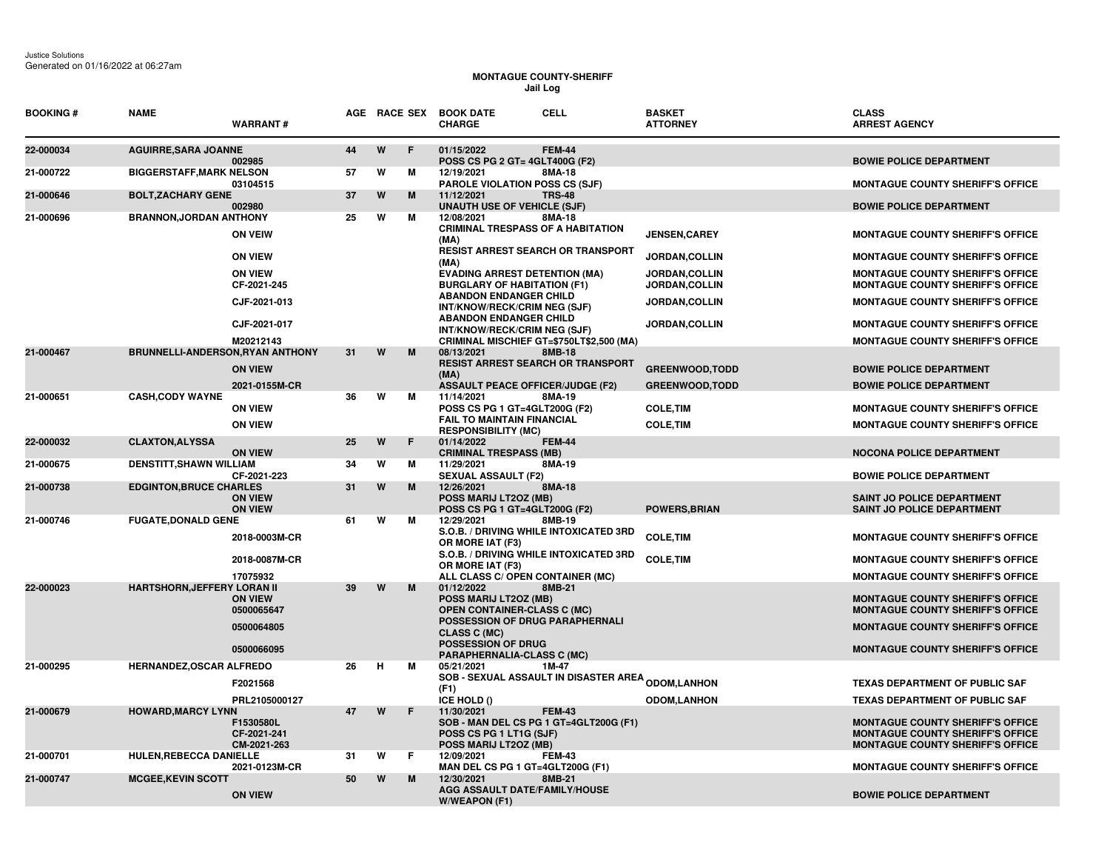## **MONTAGUE COUNTY-SHERIFF Jail Log**

| <b>BOOKING#</b> | <b>NAME</b>                        | <b>WARRANT#</b>                         |    | AGE RACE SEX |   | <b>CELL</b><br><b>BOOK DATE</b><br><b>CHARGE</b>                                           | <b>BASKET</b><br><b>ATTORNEY</b>       | <b>CLASS</b><br><b>ARREST AGENCY</b>                                                                                          |
|-----------------|------------------------------------|-----------------------------------------|----|--------------|---|--------------------------------------------------------------------------------------------|----------------------------------------|-------------------------------------------------------------------------------------------------------------------------------|
| 22-000034       | <b>AGUIRRE, SARA JOANNE</b>        | 002985                                  | 44 | W            | F | 01/15/2022<br><b>FEM-44</b><br>POSS CS PG 2 GT= 4GLT400G (F2)                              |                                        | <b>BOWIE POLICE DEPARTMENT</b>                                                                                                |
| 21-000722       | <b>BIGGERSTAFF, MARK NELSON</b>    | 03104515                                | 57 | W            | м | 12/19/2021<br>8MA-18<br><b>PAROLE VIOLATION POSS CS (SJF)</b>                              |                                        | <b>MONTAGUE COUNTY SHERIFF'S OFFICE</b>                                                                                       |
| 21-000646       | <b>BOLT, ZACHARY GENE</b>          | 002980                                  | 37 | W            | M | 11/12/2021<br><b>TRS-48</b><br><b>UNAUTH USE OF VEHICLE (SJF)</b>                          |                                        | <b>BOWIE POLICE DEPARTMENT</b>                                                                                                |
| 21-000696       | <b>BRANNON, JORDAN ANTHONY</b>     | <b>ON VEIW</b>                          | 25 | W            | M | 8MA-18<br>12/08/2021<br><b>CRIMINAL TRESPASS OF A HABITATION</b><br>(MA)                   | <b>JENSEN,CAREY</b>                    | <b>MONTAGUE COUNTY SHERIFF'S OFFICE</b>                                                                                       |
|                 |                                    | <b>ON VIEW</b>                          |    |              |   | <b>RESIST ARREST SEARCH OR TRANSPORT</b><br>(MA)                                           | <b>JORDAN,COLLIN</b>                   | <b>MONTAGUE COUNTY SHERIFF'S OFFICE</b>                                                                                       |
|                 |                                    | <b>ON VIEW</b><br>CF-2021-245           |    |              |   | <b>EVADING ARREST DETENTION (MA)</b><br><b>BURGLARY OF HABITATION (F1)</b>                 | JORDAN, COLLIN<br><b>JORDAN,COLLIN</b> | <b>MONTAGUE COUNTY SHERIFF'S OFFICE</b><br>MONTAGUE COUNTY SHERIFF'S OFFICE                                                   |
|                 |                                    | CJF-2021-013                            |    |              |   | <b>ABANDON ENDANGER CHILD</b><br>INT/KNOW/RECK/CRIM NEG (SJF)                              | JORDAN, COLLIN                         | <b>MONTAGUE COUNTY SHERIFF'S OFFICE</b>                                                                                       |
|                 |                                    | CJF-2021-017                            |    |              |   | <b>ABANDON ENDANGER CHILD</b><br>INT/KNOW/RECK/CRIM NEG (SJF)                              | <b>JORDAN,COLLIN</b>                   | <b>MONTAGUE COUNTY SHERIFF'S OFFICE</b>                                                                                       |
| 21-000467       | BRUNNELLI-ANDERSON, RYAN ANTHONY   | M20212143                               | 31 | W            | M | CRIMINAL MISCHIEF GT=\$750LT\$2,500 (MA)<br>08/13/2021<br>8MB-18                           |                                        | <b>MONTAGUE COUNTY SHERIFF'S OFFICE</b>                                                                                       |
|                 |                                    | <b>ON VIEW</b>                          |    |              |   | <b>RESIST ARREST SEARCH OR TRANSPORT</b><br>(MA)                                           | <b>GREENWOOD, TODD</b>                 | <b>BOWIE POLICE DEPARTMENT</b>                                                                                                |
|                 |                                    | 2021-0155M-CR                           |    |              |   | <b>ASSAULT PEACE OFFICER/JUDGE (F2)</b>                                                    | <b>GREENWOOD, TODD</b>                 | <b>BOWIE POLICE DEPARTMENT</b>                                                                                                |
| 21-000651       | <b>CASH, CODY WAYNE</b>            | <b>ON VIEW</b>                          | 36 | W            | м | 11/14/2021<br>8MA-19<br>POSS CS PG 1 GT=4GLT200G (F2)<br><b>FAIL TO MAINTAIN FINANCIAL</b> | <b>COLE, TIM</b>                       | <b>MONTAGUE COUNTY SHERIFF'S OFFICE</b>                                                                                       |
|                 |                                    | <b>ON VIEW</b>                          |    |              |   | <b>RESPONSIBILITY (MC)</b>                                                                 | <b>COLE, TIM</b>                       | <b>MONTAGUE COUNTY SHERIFF'S OFFICE</b>                                                                                       |
| 22-000032       | <b>CLAXTON, ALYSSA</b>             | <b>ON VIEW</b>                          | 25 | W            | F | 01/14/2022<br><b>FEM-44</b><br><b>CRIMINAL TRESPASS (MB)</b>                               |                                        | <b>NOCONA POLICE DEPARTMENT</b>                                                                                               |
| 21-000675       | DENSTITT, SHAWN WILLIAM            | CF-2021-223                             | 34 | W            | м | 8MA-19<br>11/29/2021<br><b>SEXUAL ASSAULT (F2)</b>                                         |                                        | <b>BOWIE POLICE DEPARTMENT</b>                                                                                                |
| 21-000738       | <b>EDGINTON, BRUCE CHARLES</b>     | <b>ON VIEW</b><br><b>ON VIEW</b>        | 31 | W            | M | 12/26/2021<br>8MA-18<br>POSS MARIJ LT2OZ (MB)<br>POSS CS PG 1 GT=4GLT200G (F2)             | <b>POWERS, BRIAN</b>                   | SAINT JO POLICE DEPARTMENT<br>SAINT JO POLICE DEPARTMENT                                                                      |
| 21-000746       | <b>FUGATE, DONALD GENE</b>         |                                         | 61 | W            | м | 12/29/2021<br>8MB-19                                                                       |                                        |                                                                                                                               |
|                 |                                    | 2018-0003M-CR                           |    |              |   | S.O.B. / DRIVING WHILE INTOXICATED 3RD<br>OR MORE IAT (F3)                                 | <b>COLE, TIM</b>                       | <b>MONTAGUE COUNTY SHERIFF'S OFFICE</b>                                                                                       |
|                 |                                    | 2018-0087M-CR                           |    |              |   | S.O.B. / DRIVING WHILE INTOXICATED 3RD<br>OR MORE IAT (F3)                                 | <b>COLE, TIM</b>                       | <b>MONTAGUE COUNTY SHERIFF'S OFFICE</b>                                                                                       |
| 22-000023       | <b>HARTSHORN, JEFFERY LORAN II</b> | 17075932                                | 39 | W            | M | ALL CLASS C/ OPEN CONTAINER (MC)<br>01/12/2022<br>8MB-21                                   |                                        | <b>MONTAGUE COUNTY SHERIFF'S OFFICE</b>                                                                                       |
|                 |                                    | <b>ON VIEW</b><br>0500065647            |    |              |   | POSS MARIJ LT2OZ (MB)<br><b>OPEN CONTAINER-CLASS C (MC)</b>                                |                                        | <b>MONTAGUE COUNTY SHERIFF'S OFFICE</b><br><b>MONTAGUE COUNTY SHERIFF'S OFFICE</b>                                            |
|                 |                                    | 0500064805                              |    |              |   | POSSESSION OF DRUG PARAPHERNALI<br>CLASS C (MC)                                            |                                        | <b>MONTAGUE COUNTY SHERIFF'S OFFICE</b>                                                                                       |
|                 |                                    | 0500066095                              |    |              |   | <b>POSSESSION OF DRUG</b><br><b>PARAPHERNALIA-CLASS C (MC)</b>                             |                                        | <b>MONTAGUE COUNTY SHERIFF'S OFFICE</b>                                                                                       |
| 21-000295       | HERNANDEZ, OSCAR ALFREDO           |                                         | 26 | н            | м | 05/21/2021<br>1M-47                                                                        |                                        |                                                                                                                               |
|                 |                                    | F2021568                                |    |              |   | <b>SOB - SEXUAL ASSAULT IN DISASTER AREA <sub>ODOM,</sub>LANHON</b><br>(F1)                |                                        | <b>TEXAS DEPARTMENT OF PUBLIC SAF</b>                                                                                         |
| 21-000679       | <b>HOWARD, MARCY LYNN</b>          | PRL2105000127                           | 47 | W            | F | ICE HOLD ()<br>11/30/2021<br><b>FEM-43</b>                                                 | <b>ODOM,LANHON</b>                     | <b>TEXAS DEPARTMENT OF PUBLIC SAF</b>                                                                                         |
|                 |                                    | F1530580L<br>CF-2021-241<br>CM-2021-263 |    |              |   | SOB - MAN DEL CS PG 1 GT=4GLT200G (F1)<br>POSS CS PG 1 LT1G (SJF)<br>POSS MARIJ LT2OZ (MB) |                                        | <b>MONTAGUE COUNTY SHERIFF'S OFFICE</b><br><b>MONTAGUE COUNTY SHERIFF'S OFFICE</b><br><b>MONTAGUE COUNTY SHERIFF'S OFFICE</b> |
| 21-000701       | HULEN, REBECCA DANIELLE            | 2021-0123M-CR                           | 31 | W            | F | 12/09/2021<br><b>FEM-43</b><br>MAN DEL CS PG 1 GT=4GLT200G (F1)                            |                                        | <b>MONTAGUE COUNTY SHERIFF'S OFFICE</b>                                                                                       |
| 21-000747       | <b>MCGEE, KEVIN SCOTT</b>          | <b>ON VIEW</b>                          | 50 | W            | M | 12/30/2021<br>8MB-21<br>AGG ASSAULT DATE/FAMILY/HOUSE<br><b>W/WEAPON (F1)</b>              |                                        | <b>BOWIE POLICE DEPARTMENT</b>                                                                                                |
|                 |                                    |                                         |    |              |   |                                                                                            |                                        |                                                                                                                               |